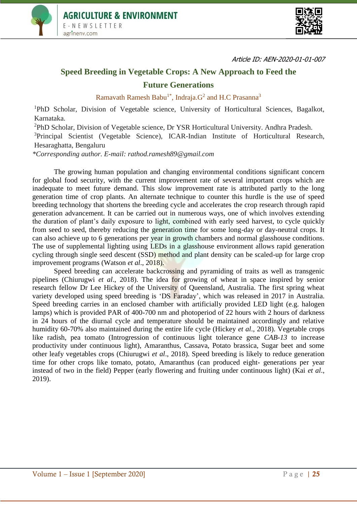



Article ID: AEN-2020-01-01-007

## **Speed Breeding in Vegetable Crops: A New Approach to Feed the Future Generations**

Ramavath Ramesh Babu<sup>1\*</sup>, Indraja. $G<sup>2</sup>$  and H.C Prasanna<sup>3</sup>

<sup>1</sup>PhD Scholar, Division of Vegetable science, University of Horticultural Sciences, Bagalkot, Karnataka.

<sup>2</sup>PhD Scholar, Division of Vegetable science, Dr YSR Horticultural University. Andhra Pradesh.

<sup>3</sup>Principal Scientist (Vegetable Science), ICAR-Indian Institute of Horticultural Research, Hesaraghatta, Bengaluru

*\*Corresponding author. E-mail: rathod.ramesh89@gmail.com*

The growing human population and changing environmental conditions significant concern for global food security, with the current improvement rate of several important crops which are inadequate to meet future demand. This slow improvement rate is attributed partly to the long generation time of crop plants. An alternate technique to counter this hurdle is the use of speed breeding technology that shortens the breeding cycle and accelerates the crop research through rapid generation advancement. It can be carried out in numerous ways, one of which involves extending the duration of plant's daily exposure to light, combined with early seed harvest, to cycle quickly from seed to seed, thereby reducing the generation time for some long-day or day-neutral crops. It can also achieve up to 6 generations per year in growth chambers and normal glasshouse conditions. The use of supplemental lighting using LEDs in a glasshouse environment allows rapid generation cycling through single seed descent (SSD) method and plant density can be scaled-up for large crop improvement programs (Watson *et al*., 2018).

Speed breeding can accelerate backcrossing and pyramiding of traits as well as transgenic pipelines (Chiurugwi *et al*., 2018). The idea for growing of wheat in space inspired by senior research fellow Dr Lee Hickey of the University of Queensland, Australia. The first spring wheat variety developed using speed breeding is 'DS Faraday', which was released in 2017 in Australia. Speed breeding carries in an enclosed chamber with artificially provided LED light (e.g. halogen lamps) which is provided PAR of 400-700 nm and photoperiod of 22 hours with 2 hours of darkness in 24 hours of the diurnal cycle and temperature should be maintained accordingly and relative humidity 60-70% also maintained during the entire life cycle (Hickey *et al*., 2018). Vegetable crops like radish, pea tomato (Introgression of continuous light tolerance gene *CAB-13* to increase productivity under continuous light), Amaranthus, Cassava, Potato brassica, Sugar beet and some other leafy vegetables crops (Chiurugwi *et al*., 2018). Speed breeding is likely to reduce generation time for other crops like tomato, potato, Amaranthus (can produced eight- generations per year instead of two in the field) Pepper (early flowering and fruiting under continuous light) (Kai *et al*., 2019).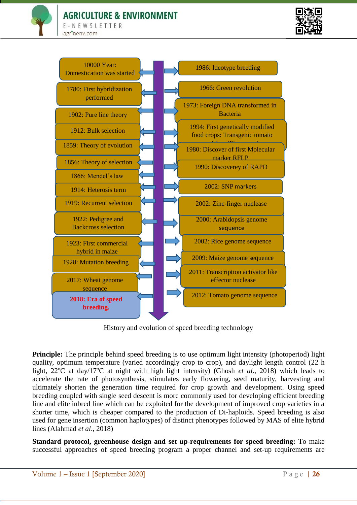## **AGRICULTURE & ENVIRONMENT**

E-NEWSLETTER agrinenv.com





History and evolution of speed breeding technology

**Principle:** The principle behind speed breeding is to use optimum light intensity (photoperiod) light quality, optimum temperature (varied accordingly crop to crop), and daylight length control (22 h light, 22<sup>o</sup>C at day/17<sup>o</sup>C at night with high light intensity) (Ghosh *et al.*, 2018) which leads to accelerate the rate of photosynthesis, stimulates early flowering, seed maturity, harvesting and ultimately shorten the generation time required for crop growth and development. Using speed breeding coupled with single seed descent is more commonly used for developing efficient breeding line and elite inbred line which can be exploited for the development of improved crop varieties in a shorter time, which is cheaper compared to the production of Di-haploids. Speed breeding is also used for gene insertion (common haplotypes) of distinct phenotypes followed by MAS of elite hybrid lines (Alahmad *et al*., 2018)

**Standard protocol, greenhouse design and set up-requirements for speed breeding:** To make successful approaches of speed breeding program a proper channel and set-up requirements are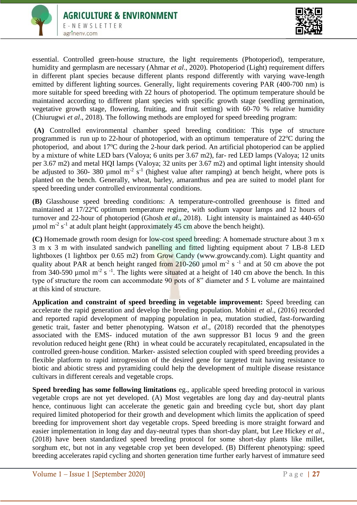



essential. Controlled green-house structure, the light requirements (Photoperiod), temperature, humidity and germplasm are necessary (Ahmar *et al*., 2020). Photoperiod (Light) requirement differs in different plant species because different plants respond differently with varying wave-length emitted by different lighting sources. Generally, light requirements covering PAR (400-700 nm) is more suitable for speed breeding with 22 hours of photoperiod. The optimum temperature should be maintained according to different plant species with specific growth stage (seedling germination, vegetative growth stage, flowering, fruiting, and fruit setting) with 60-70 % relative humidity (Chiurugwi *et al*., 2018). The following methods are employed for speed breeding program:

**(A)** Controlled environmental chamber speed breeding condition: This type of structure programmed is run up to 22-hour of photoperiod, with an optimum temperature of  $22^{\circ}$ C during the photoperiod, and about  $17^{\circ}$ C during the 2-hour dark period. An artificial photoperiod can be applied by a mixture of white LED bars (Valoya; 6 units per 3.67 m2), far- red LED lamps (Valoya; 12 units per 3.67 m2) and metal HQI lamps (Valoya; 32 units per 3.67 m2) and optimal light intensity should be adjusted to 360- 380 µmol  $m<sup>-2</sup>$  s<sup>-1</sup> (highest value after ramping) at bench height, where pots is planted on the bench. Generally, wheat, barley, amaranthus and pea are suited to model plant for speed breeding under controlled environmental conditions.

**(B)** Glasshouse speed breeding conditions: A temperature-controlled greenhouse is fitted and maintained at 17/22℃ optimum temperature regime, with sodium vapour lamps and 12 hours of turnover and 22-hour of photoperiod (Ghosh *et al*., 2018). Light intensity is maintained as 440-650  $\mu$ mol m<sup>-2</sup> s<sup>-1</sup> at adult plant height (approximately 45 cm above the bench height).

**(C)** Homemade growth room design for low-cost speed breeding: A homemade structure about 3 m x 3 m x 3 m with insulated sandwich panelling and fitted lighting equipment about 7 LB-8 LED lightboxes (1 lightbox per 0.65 m2) from Grow Candy (www.growcandy.com). Light quantity and quality about PAR at bench height ranged from 210-260  $\mu$  mol m<sup>-2</sup> s<sup>-1</sup> and at 50 cm above the pot from 340-590 µmol m<sup>-2</sup> s<sup>-1</sup>. The lights were situated at a height of 140 cm above the bench. In this type of structure the room can accommodate 90 pots of 8" diameter and 5 L volume are maintained at this kind of structure.

**Application and constraint of speed breeding in vegetable improvement:** Speed breeding can accelerate the rapid generation and develop the breeding population. Mobini *et al*., (2016) recorded and reported rapid development of mapping population in pea, mutation studied, fast-forwarding genetic trait, faster and better phenotyping. Watson *et al*., (2018) recorded that the phenotypes associated with the EMS- induced mutation of the awn suppressor B1 locus 9 and the green revolution reduced height gene (Rht) in wheat could be accurately recapitulated, encapsulated in the controlled green-house condition. Marker- assisted selection coupled with speed breeding provides a flexible platform to rapid introgression of the desired gene for targeted trait having resistance to biotic and abiotic stress and pyramiding could help the development of multiple disease resistance cultivars in different cereals and vegetable crops.

**Speed breeding has some following limitations** eg., applicable speed breeding protocol in various vegetable crops are not yet developed. (A) Most vegetables are long day and day-neutral plants hence, continuous light can accelerate the genetic gain and breeding cycle but, short day plant required limited photoperiod for their growth and development which limits the application of speed breeding for improvement short day vegetable crops. Speed breeding is more straight forward and easier implementation in long day and day-neutral types than short-day plant, but Lee Hickey *et al*., (2018) have been standardized speed breeding protocol for some short-day plants like millet, sorghum etc, but not in any vegetable crop yet been developed. (B) Different phenotyping: speed breeding accelerates rapid cycling and shorten generation time further early harvest of immature seed